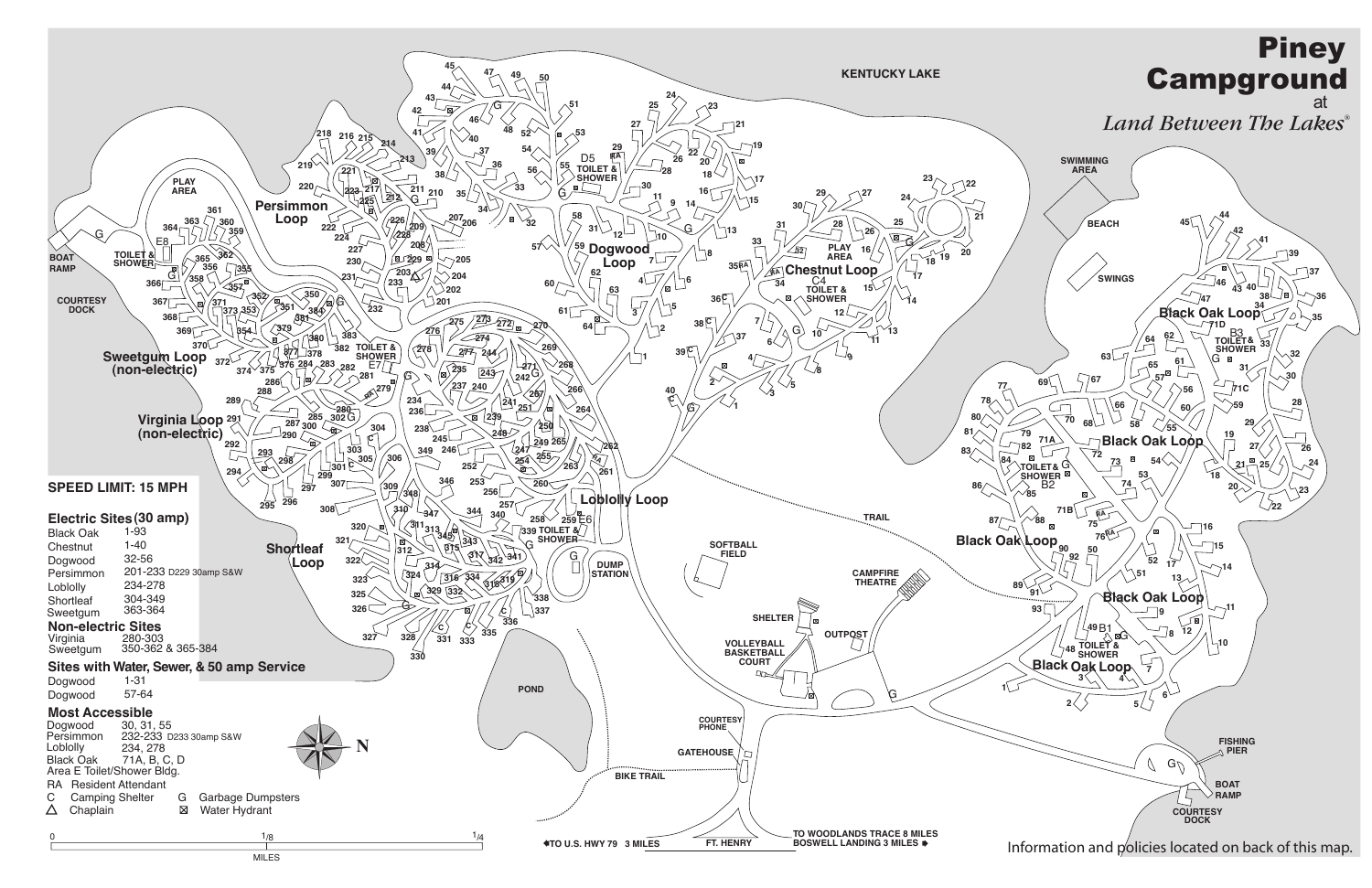